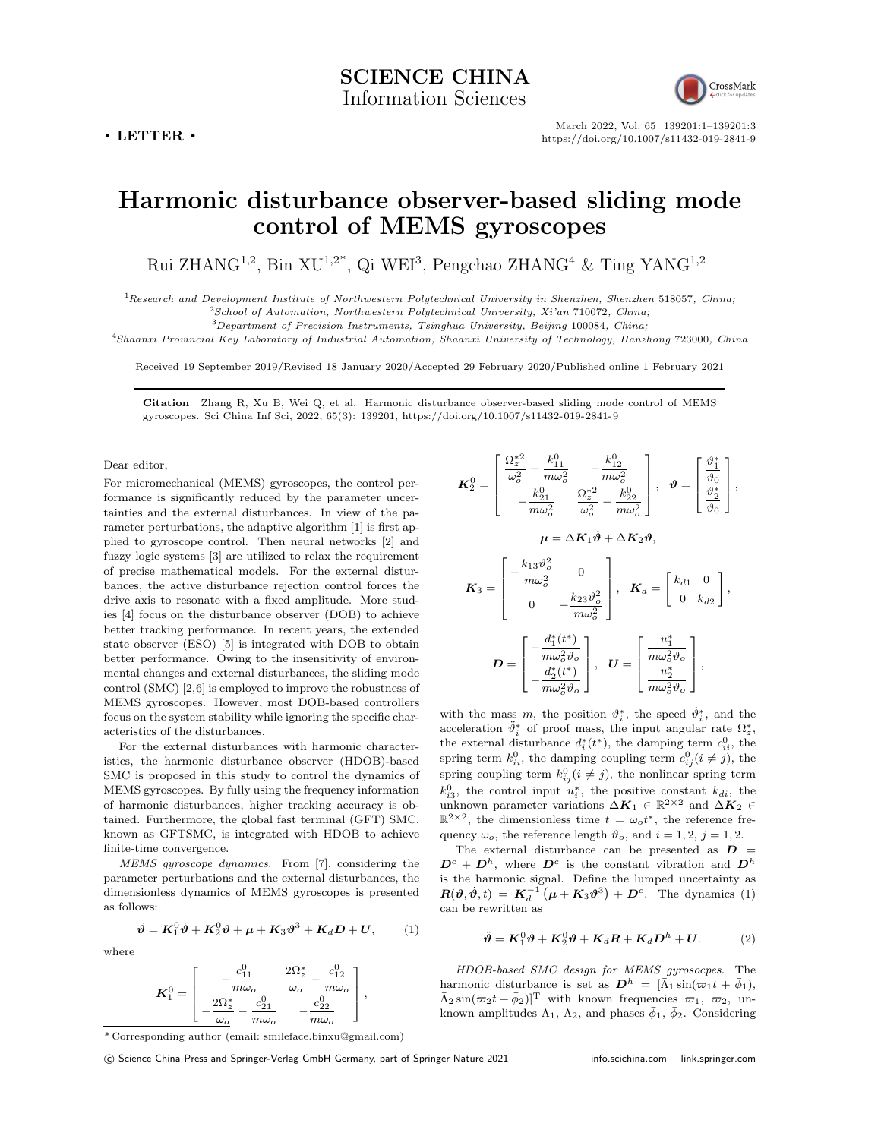**. LETTER .**



March 2022, Vol. 65 139201:1–139201:3 https://doi.org/10.1007/s11432-019-2841-9

## **Harmonic disturbance observer-based sliding mode control of MEMS gyroscopes**

Rui ZHANG<sup>1,2</sup>, Bin XU<sup>1,2\*</sup>, Qi WEI<sup>3</sup>, Pengchao ZHANG<sup>4</sup> & Ting YANG<sup>1,2</sup>

<sup>1</sup>*Research and Development Institute of Northwestern Polytechnical University in Shenzhen, Shenzhen* 518057*, China;* <sup>2</sup>*School of Automation, Northwestern Polytechnical University, Xi'an* 710072*, China;*

<sup>3</sup>*Department of Precision Instruments, Tsinghua University, Beijing* 100084*, China;*

<sup>4</sup>*Shaanxi Provincial Key Laboratory of Industrial Automation, Shaanxi University of Technology, Hanzhong* 723000*, China*

Received 19 September 2019/Revised 18 January 2020/Accepted 29 February 2020/Published online 1 February 2021

**Citation** Zhang R, Xu B, Wei Q, et al. Harmonic disturbance observer-based sliding mode control of MEMS gyroscopes. Sci China Inf Sci, 2022, 65(3): 139201, https://doi.org/10.1007/s11432-019-2841-9

## Dear editor,

For micromechanical (MEMS) gyroscopes, the control performance is significantly reduced by the parameter uncertainties and the external disturbances. In view of the parameter perturbations, the adaptive algorithm [1] is first applied to gyroscope control. Then neural networks [2] and fuzzy logic systems [3] are utilized to relax the requirement of precise mathematical models. For the external disturbances, the active disturbance rejection control forces the drive axis to resonate with a fixed amplitude. More studies [4] focus on the disturbance observer (DOB) to achieve better tracking performance. In recent years, the extended state observer (ESO) [5] is integrated with DOB to obtain better performance. Owing to the insensitivity of environmental changes and external disturbances, the sliding mode control (SMC) [2,6] is employed to improve the robustness of MEMS gyroscopes. However, most DOB-based controllers focus on the system stability while ignoring the specific characteristics of the disturbances.

For the external disturbances with harmonic characteristics, the harmonic disturbance observer (HDOB)-based SMC is proposed in this study to control the dynamics of MEMS gyroscopes. By fully using the frequency information of harmonic disturbances, higher tracking accuracy is obtained. Furthermore, the global fast terminal (GFT) SMC, known as GFTSMC, is integrated with HDOB to achieve finite-time convergence.

*MEMS gyroscope dynamics*. From [7], considering the parameter perturbations and the external disturbances, the dimensionless dynamics of MEMS gyroscopes is presented as follows:

$$
\ddot{\theta} = K_1^0 \dot{\theta} + K_2^0 \theta + \mu + K_3 \theta^3 + K_d D + U, \qquad (1)
$$

where

$$
\pmb{K}_1^0=\left[\begin{array}{cc}-\frac{c_{11}^0}{m\omega_o}&\frac{2\Omega_z^*}{\omega_o}-\frac{c_{12}^0}{m\omega_o}\\-\frac{2\Omega_z^*}{\omega_o}-\frac{c_{21}^0}{m\omega_o}&-\frac{c_{22}^0}{m\omega_o}\end{array}\right],
$$

\* Corresponding author (email: smileface.binxu@gmail.com)

 $K_2^0 =$  $\Gamma$  $\overline{\phantom{a}}$  $\frac{\Omega_z^{*2}}{\omega_o^2}$  –  $\frac{k_{11}^0}{m\omega_o^2}$  –  $\frac{k_{12}^0}{m\omega_o^2}$ *−*  $\frac{k_{21}^0}{m\omega_o^2}$  $\frac{\Omega_z^{*2}}{\omega_o^2}$  –  $\frac{k_{22}^0}{m\omega_o^2}$ T  $\begin{array}{c} \hline \end{array}$  $, \theta =$  $\sqrt{ }$  $\overline{\phantom{a}}$  $\frac{\vartheta_{1}^{*}}{\vartheta_{0}}$  $\frac{\vartheta_{2}^{*}}{\vartheta_{0}}$ 1 *,*  $\mu = \Delta K_1 \dot{\theta} + \Delta K_2 \theta$ .  $K_3 =$  $\sqrt{ }$  $\overline{\phantom{a}}$  $-\frac{k_{13}\vartheta_o^2}{m\omega_o^2}$  0  $0 \qquad -\frac{k_{23} \vartheta_o^2}{m ω_o^2}$ *o* 1  $,$   $K_d =$  $\begin{bmatrix} k_{d1} & 0 \end{bmatrix}$ 0 *kd*<sup>2</sup> ] *,*

$$
\boldsymbol{D} = \begin{bmatrix} -\frac{d_1^*(t^*)}{m\omega_o^2\vartheta_o} \\ -\frac{d_2^*(t^*)}{m\omega_o^2\vartheta_o} \end{bmatrix}, \ \ \boldsymbol{U} = \begin{bmatrix} \frac{u_1^*}{m\omega_o^2\vartheta_o} \\ \frac{u_2^*}{m\omega_o^2\vartheta_o} \end{bmatrix},
$$

with the mass *m*, the position  $\vartheta_i^*$ , the speed  $\vartheta_i^*$ , and the acceleration  $\ddot{\vartheta}_i^*$  of proof mass, the input angular rate  $\Omega_z^*$ , the external disturbance  $d_i^*(t^*)$ , the damping term  $c_{ii}^0$ , the spring term  $k_{ii}^0$ , the damping coupling term  $c_{ij}^0$  (*i*  $\neq j$ ), the spring coupling term  $k_{ij}^0$  ( $i \neq j$ ), the nonlinear spring term  $k_{i3}^0$ , the control input  $u_i^*$ , the positive constant  $k_{di}$ , the unknown parameter variations  $\Delta K_1$  ∈  $\mathbb{R}^{2 \times 2}$  and  $\Delta K_2$  ∈  $\mathbb{R}^{2\times 2}$ , the dimensionless time  $t = \omega_0 t^*$ , the reference frequency  $\omega_o$ , the reference length  $\vartheta_o$ , and  $i = 1, 2, j = 1, 2$ .

The external disturbance can be presented as  $D =$  $D^c + D^h$ , where  $D^c$  is the constant vibration and  $D^h$ is the harmonic signal. Define the lumped uncertainty as  $R(\vartheta, \dot{\vartheta}, t) = K_d^{-1} \left( \mu + K_3 \vartheta^3 \right) + D^c$ . The dynamics (1) can be rewritten as

$$
\ddot{\theta} = K_1^0 \dot{\theta} + K_2^0 \theta + K_d R + K_d D^h + U. \tag{2}
$$

*HDOB-based SMC design for MEMS gyrosocpes*. The harmonic disturbance is set as  $D^h = [\bar{\Lambda}_1 \sin(\bar{\omega}_1 t + \bar{\phi}_1),$  $\bar{\Lambda}_2 \sin(\varpi_2 t + \bar{\phi}_2)$ <sup>T</sup> with known frequencies  $\varpi_1$ ,  $\varpi_2$ , unknown amplitudes  $\bar{\Lambda}_1$ ,  $\bar{\Lambda}_2$ , and phases  $\bar{\phi}_1$ ,  $\bar{\phi}_2$ . Considering

*⃝*c Science China Press and Springer-Verlag GmbH Germany, part of Springer Nature 2021 info.scichina.com link.springer.com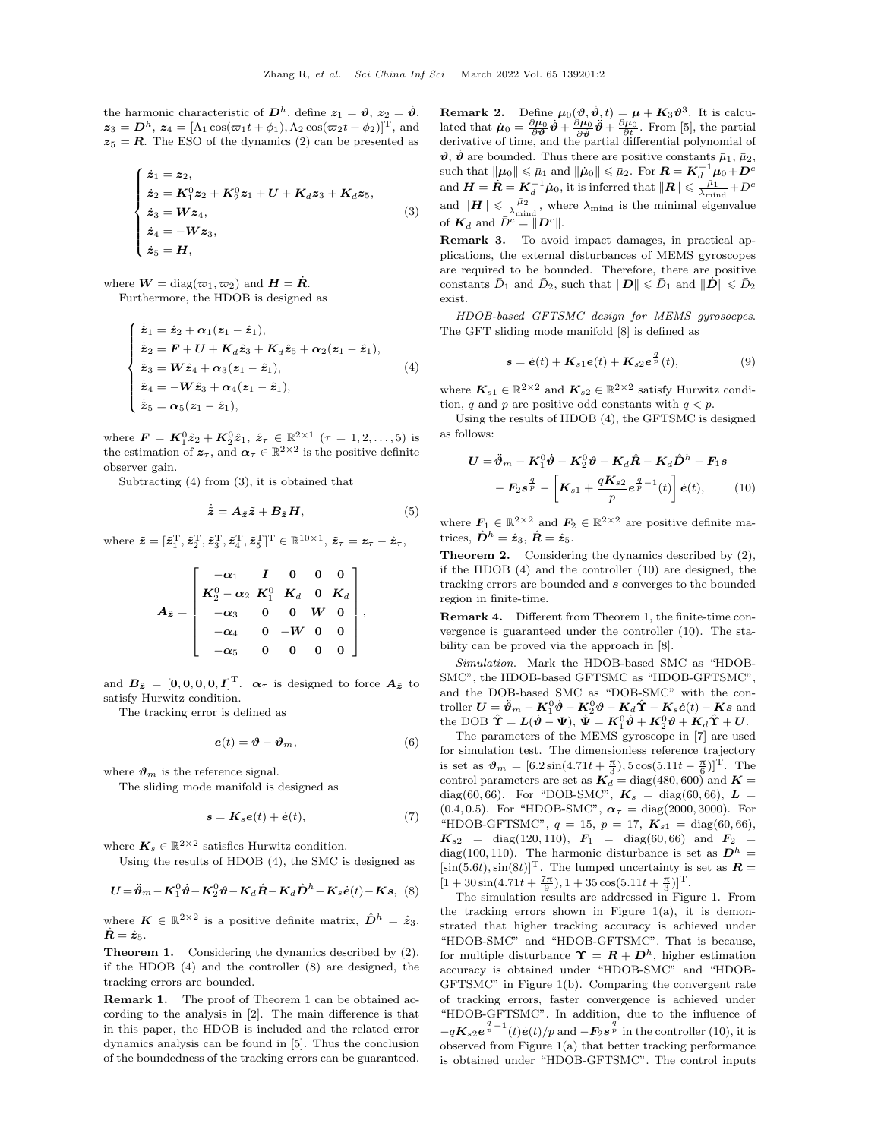the harmonic characteristic of  $D^h$ , define  $z_1 = \vartheta$ ,  $z_2 = \dot{\vartheta}$ ,  $\bm{z}_3 = \bm{D}^h$ ,  $\bm{z}_4 = [\bar{\Lambda}_1 \cos(\varpi_1 t + \bar{\phi}_1), \bar{\Lambda}_2 \cos(\varpi_2 t + \bar{\phi}_2)]^{\mathrm{T}}$ , and  $z_5 = R$ . The ESO of the dynamics (2) can be presented as

$$
\begin{cases}\n\dot{z}_1 = z_2, \\
\dot{z}_2 = K_1^0 z_2 + K_2^0 z_1 + U + K_d z_3 + K_d z_5, \\
\dot{z}_3 = W z_4, \\
\dot{z}_4 = -W z_3, \\
\dot{z}_5 = H,\n\end{cases} (3)
$$

where  $\boldsymbol{W} = \text{diag}(\varpi_1, \varpi_2)$  and  $\boldsymbol{H} = \dot{\boldsymbol{R}}$ .

Furthermore, the HDOB is designed as

$$
\begin{cases}\n\dot{z}_1 = \hat{z}_2 + \alpha_1(z_1 - \hat{z}_1), \\
\dot{z}_2 = F + U + K_d \hat{z}_3 + K_d \hat{z}_5 + \alpha_2(z_1 - \hat{z}_1), \\
\dot{z}_3 = W \hat{z}_4 + \alpha_3(z_1 - \hat{z}_1), \\
\dot{z}_4 = -W \hat{z}_3 + \alpha_4(z_1 - \hat{z}_1), \\
\dot{z}_5 = \alpha_5(z_1 - \hat{z}_1),\n\end{cases} (4)
$$

where  $\mathbf{F} = \mathbf{K}_1^0 \hat{\mathbf{z}}_2 + \mathbf{K}_2^0 \hat{\mathbf{z}}_1, \ \hat{\mathbf{z}}_{\tau} \in \mathbb{R}^{2 \times 1} \ (\tau = 1, 2, \dots, 5)$  is the estimation of  $z_{\tau}$ , and  $\alpha_{\tau} \in \mathbb{R}^{2 \times 2}$  is the positive definite observer gain.

Subtracting (4) from (3), it is obtained that

$$
\dot{\tilde{z}} = A_{\tilde{z}} \tilde{z} + B_{\tilde{z}} H, \tag{5}
$$

where  $\tilde{\boldsymbol{z}} = [\tilde{z}_1^{\mathrm{T}}, \tilde{z}_2^{\mathrm{T}}, \tilde{z}_3^{\mathrm{T}}, \tilde{z}_4^{\mathrm{T}}, \tilde{z}_5^{\mathrm{T}}]^{\mathrm{T}} \in \mathbb{R}^{10 \times 1}, \, \tilde{z}_\tau = \boldsymbol{z}_\tau - \hat{z}_\tau,$ 

$$
A_{\tilde{\bm{z}}} = \left[ \begin{array}{cccc} -\alpha_1 & I & 0 & 0 & 0 \\ K^0_2 - \alpha_2 & K^0_1 & K_d & 0 & K_d \\ -\alpha_3 & 0 & 0 & W & 0 \\ -\alpha_4 & 0 & -W & 0 & 0 \\ -\alpha_5 & 0 & 0 & 0 & 0 \end{array} \right],
$$

and  $B_{\tilde{z}} = [0, 0, 0, 0, I]^{\mathrm{T}}$ .  $\alpha_{\tau}$  is designed to force  $A_{\tilde{z}}$  to satisfy Hurwitz condition.

The tracking error is defined as

$$
\mathbf{e}(t) = \boldsymbol{\vartheta} - \boldsymbol{\vartheta}_m,\tag{6}
$$

where  $\vartheta_m$  is the reference signal.

The sliding mode manifold is designed as

$$
\mathbf{s} = \mathbf{K}_s \mathbf{e}(t) + \dot{\mathbf{e}}(t),\tag{7}
$$

where  $K_s \in \mathbb{R}^{2 \times 2}$  satisfies Hurwitz condition.

Using the results of HDOB (4), the SMC is designed as

$$
\boldsymbol{U} = \ddot{\boldsymbol{\vartheta}}_m - \boldsymbol{K}_1^0 \dot{\boldsymbol{\vartheta}} - \boldsymbol{K}_2^0 \boldsymbol{\vartheta} - \boldsymbol{K}_d \hat{\boldsymbol{R}} - \boldsymbol{K}_d \hat{\boldsymbol{D}}^h - \boldsymbol{K}_s \dot{\boldsymbol{e}}(t) - \boldsymbol{K} \boldsymbol{s}, \tag{8}
$$

where  $K \in \mathbb{R}^{2 \times 2}$  is a positive definite matrix,  $\hat{D}^h = \hat{z}_3$ ,  $\hat{\mathbf{R}} = \hat{\mathbf{z}}_5$ .

**Theorem 1.** Considering the dynamics described by  $(2)$ , if the HDOB (4) and the controller (8) are designed, the tracking errors are bounded.

**Remark 1.** The proof of Theorem 1 can be obtained according to the analysis in [2]. The main difference is that in this paper, the HDOB is included and the related error dynamics analysis can be found in [5]. Thus the conclusion of the boundedness of the tracking errors can be guaranteed.

**Remark 2.** Define  $\mu_0(\theta, \dot{\theta}, t) = \mu + K_3 \theta^3$ . It is calculated that  $\mu_0 = \frac{\partial \mu_0}{\partial \theta} \dot{\theta} + \frac{\partial \mu_0}{\partial \dot{\theta}} \ddot{\theta} + \frac{\partial \mu_0}{\partial t}$ . From [5], the partial derivative of time, and the partial differential polynomial of  $\hat{\boldsymbol{\theta}}$ ,  $\hat{\boldsymbol{\theta}}$  are bounded. Thus there are positive constants  $\bar{\mu}_1$ ,  $\bar{\mu}_2$ ,  $|\mathbf{a} \times \mathbf{b}| \leq \bar{\mu}_1 \text{ and } ||\mathbf{a} \times \mathbf{b}| \leq \bar{\mu}_2. \text{ For } \mathbf{R} = \mathbf{K}_d^{-1} \mathbf{a} + \mathbf{D}^c$  $\lim_{\delta \to 0^+} H = \mathbf{R} = \mathbf{K}_d^{-1} \dot{\mu}_0$ , it is inferred that  $\|\mathbf{R}\| \leqslant \frac{\bar{\mu}_1}{\lambda_{\min} + \bar{D}^c}$ and  $||H|| \leq \frac{\bar{\mu}_2}{\lambda_{\text{mind}}}$ , where  $\lambda_{\text{mind}}$  is the minimal eigenvalue of  $K_d$  and  $\bar{D}^c = ||D^c||$ .

**Remark 3.** To avoid impact damages, in practical applications, the external disturbances of MEMS gyroscopes are required to be bounded. Therefore, there are positive constants  $\bar{D}_1$  and  $\bar{D}_2$ , such that  $||\mathbf{D}|| \leq \bar{D}_1$  and  $||\mathbf{D}|| \leq \bar{D}_2$ exist.

*HDOB-based GFTSMC design for MEMS gyrosocpes*. The GFT sliding mode manifold [8] is defined as

$$
\mathbf{s} = \dot{\mathbf{e}}(t) + \mathbf{K}_{s1}\mathbf{e}(t) + \mathbf{K}_{s2}\mathbf{e}^{\frac{q}{p}}(t),
$$
\n(9)

where  $K_{s1} \in \mathbb{R}^{2 \times 2}$  and  $K_{s2} \in \mathbb{R}^{2 \times 2}$  satisfy Hurwitz condition, *q* and *p* are positive odd constants with  $q < p$ .

Using the results of HDOB (4), the GFTSMC is designed as follows:

$$
U = \ddot{\theta}_m - K_1^0 \dot{\theta} - K_2^0 \theta - K_d \hat{R} - K_d \hat{D}^h - F_1 s
$$

$$
- F_2 s^{\frac{q}{p}} - \left[ K_{s1} + \frac{qK_{s2}}{p} e^{\frac{q}{p} - 1}(t) \right] \dot{e}(t), \qquad (10)
$$

where  $\mathbf{F}_1 \in \mathbb{R}^{2 \times 2}$  and  $\mathbf{F}_2 \in \mathbb{R}^{2 \times 2}$  are positive definite matrices,  $\hat{\mathbf{D}}^h = \hat{\mathbf{z}}_3$ ,  $\hat{\mathbf{R}} = \hat{\mathbf{z}}_5$ .

**Theorem 2.** Considering the dynamics described by  $(2)$ , if the HDOB (4) and the controller (10) are designed, the tracking errors are bounded and *s* converges to the bounded region in finite-time.

**Remark 4.** Different from Theorem 1, the finite-time convergence is guaranteed under the controller (10). The stability can be proved via the approach in [8].

*Simulation*. Mark the HDOB-based SMC as "HDOB-SMC", the HDOB-based GFTSMC as "HDOB-GFTSMC", and the DOB-based SMC as "DOB-SMC" with the con- $\text{troller } U = \ddot{\vartheta}_m - \mathbf{K}_1^0 \vartheta - \mathbf{K}_2^0 \vartheta - \mathbf{K}_d \hat{\Upsilon} - \mathbf{K}_s \dot{\mathbf{e}}(t) - \mathbf{K} \mathbf{s} \text{ and }$  $\tan{p}$ **the DOB**  $\hat{\Upsilon} = L(\dot{\theta} - \Psi), \ \dot{\Psi} = K_1^0 \dot{\theta} + K_2^0 \theta + K_d \hat{\Upsilon} + U.$ 

The parameters of the MEMS gyroscope in [7] are used for simulation test. The dimensionless reference trajectory is set as  $\theta_m = [6.2 \sin(4.71t + \frac{\pi}{3}), 5 \cos(5.11t - \frac{\pi}{6})]^{\text{T}}$ . The control parameters are set as  $K_d$  = diag(480,600) and  $K =$ diag(60,66). For "DOB-SMC",  $K_s = diag(60, 66)$ ,  $L =$  $(0.4, 0.5)$ . For "HDOB-SMC",  $\alpha_{\tau} = \text{diag}(2000, 3000)$ . For "HDOB-GFTSMC",  $q = 15$ ,  $p = 17$ ,  $K_{s1} = \text{diag}(60, 66)$ ,  $K_{s2}$  = diag(120*,* 110*)*,  $F_1$  = diag(60*,* 66*)* and  $F_2$  = diag(100, 110). The harmonic disturbance is set as  $D^h$  =  $[\sin(5.6t), \sin(8t)]^{\mathrm{T}}$ . The lumped uncertainty is set as  $\boldsymbol{R} =$  $[1 + 30\sin(4.71t + \frac{7\pi}{9}), 1 + 35\cos(5.11t + \frac{\pi}{3})]^{\mathrm{T}}$ .

The simulation results are addressed in Figure 1. From the tracking errors shown in Figure  $1(a)$ , it is demonstrated that higher tracking accuracy is achieved under "HDOB-SMC" and "HDOB-GFTSMC". That is because, for multiple disturbance  $\Upsilon = R + D^h$ , higher estimation accuracy is obtained under "HDOB-SMC" and "HDOB-GFTSMC" in Figure 1(b). Comparing the convergent rate of tracking errors, faster convergence is achieved under "HDOB-GFTSMC". In addition, due to the influence of  $-qK_{s2}e^{\frac{q}{p}-1}(t)\dot{e}(t)/p$  and  $-F_{2}s^{\frac{q'}{p}}$  in the controller (10), it is observed from Figure 1(a) that better tracking performance is obtained under "HDOB-GFTSMC". The control inputs